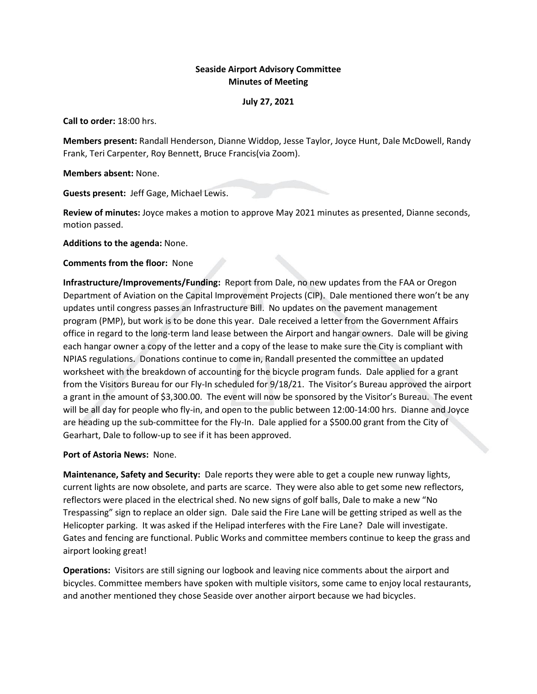# **Seaside Airport Advisory Committee Minutes of Meeting**

### **July 27, 2021**

**Call to order:** 18:00 hrs.

**Members present:** Randall Henderson, Dianne Widdop, Jesse Taylor, Joyce Hunt, Dale McDowell, Randy Frank, Teri Carpenter, Roy Bennett, Bruce Francis(via Zoom).

**Members absent:** None.

**Guests present:** Jeff Gage, Michael Lewis.

**Review of minutes:** Joyce makes a motion to approve May 2021 minutes as presented, Dianne seconds, motion passed.

**Additions to the agenda:** None.

## **Comments from the floor:** None

**Infrastructure/Improvements/Funding:** Report from Dale, no new updates from the FAA or Oregon Department of Aviation on the Capital Improvement Projects (CIP). Dale mentioned there won't be any updates until congress passes an Infrastructure Bill. No updates on the pavement management program (PMP), but work is to be done this year. Dale received a letter from the Government Affairs office in regard to the long-term land lease between the Airport and hangar owners. Dale will be giving each hangar owner a copy of the letter and a copy of the lease to make sure the City is compliant with NPIAS regulations. Donations continue to come in, Randall presented the committee an updated worksheet with the breakdown of accounting for the bicycle program funds. Dale applied for a grant from the Visitors Bureau for our Fly-In scheduled for 9/18/21. The Visitor's Bureau approved the airport a grant in the amount of \$3,300.00. The event will now be sponsored by the Visitor's Bureau. The event will be all day for people who fly-in, and open to the public between 12:00-14:00 hrs. Dianne and Joyce are heading up the sub-committee for the Fly-In. Dale applied for a \$500.00 grant from the City of Gearhart, Dale to follow-up to see if it has been approved.

# **Port of Astoria News:** None.

**Maintenance, Safety and Security:** Dale reports they were able to get a couple new runway lights, current lights are now obsolete, and parts are scarce. They were also able to get some new reflectors, reflectors were placed in the electrical shed. No new signs of golf balls, Dale to make a new "No Trespassing" sign to replace an older sign. Dale said the Fire Lane will be getting striped as well as the Helicopter parking. It was asked if the Helipad interferes with the Fire Lane? Dale will investigate. Gates and fencing are functional. Public Works and committee members continue to keep the grass and airport looking great!

**Operations:** Visitors are still signing our logbook and leaving nice comments about the airport and bicycles. Committee members have spoken with multiple visitors, some came to enjoy local restaurants, and another mentioned they chose Seaside over another airport because we had bicycles.